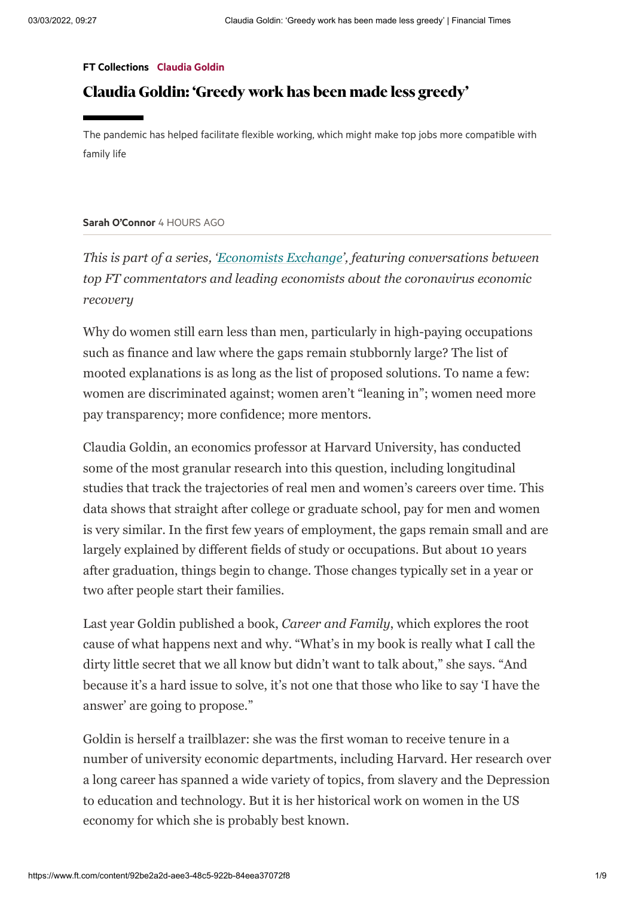## FT [Collections](https://www.ft.com/stream/a534e712-f97c-44a9-ad2c-42a8e9da5682) [Claudia](https://www.ft.com/stream/6222ef4a-1aa2-3274-94bd-c5d284ab0349) Goldin

## Claudia Goldin: 'Greedy work has been made less greedy'

family life

## Sarah [O'Connor](https://www.ft.com/sarah-o-connor) 4 HOURS AGO

*This is part of a series, 'Economists Exchange', featuring conversations between top FT commentators and leading economists about the coronavirus economic recovery*

Why do women still earn less than men, particularly in high-paying occupations such as finance and law where the gaps remain stubbornly large? The list of mooted explanations is as long as the list of proposed solutions. To name a few: women are discriminated against; women aren't "leaning in"; women need more pay transparency; more confidence; more mentors.

Claudia Goldin, an economics professor at Harvard University, has conducted some of the most granular research into this question, including longitudinal studies that track the trajectories of real men and women's careers over time. This data shows that straight after college or graduate school, pay for men and women is very similar. In the first few years of employment, the gaps remain small and are largely explained by different fields of study or occupations. But about 10 years after graduation, things begin to change. Those changes typically set in a year or two after people start their families. The particle its helped facilitate itendek sovising, which might make top jobs more compatible with<br>**Samh O'Comor** 4 itendef 5 600<br>**Samh O'Comor 4 itendef 660**<br>This is part of a sertics, "hetmonomists heating exponentiate

Last year Goldin published a book, *Career and Family*, which explores the root cause of what happens next and why. "What's in my book is really what I call the dirty little secret that we all know but didn't want to talk about," she says. "And because it's a hard issue to solve, it's not one that those who like to say 'I have the answer' are going to propose."

Goldin is herself a trailblazer: she was the first woman to receive tenure in a number of university economic departments, including Harvard. Her research over a long career has spanned a wide variety of topics, from slavery and the Depression to education and technology. But it is her historical work on women in the US economy for which she is probably best known.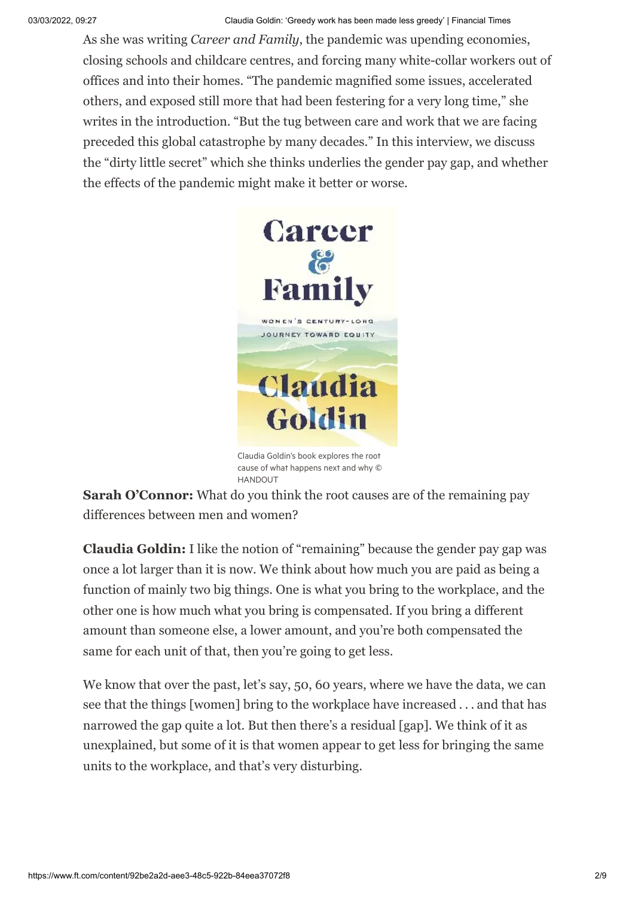As she was writing *Career and Family*, the pandemic was upending economies, closing schools and childcare centres, and forcing many white-collar workers out of offices and into their homes. "The pandemic magnified some issues, accelerated others, and exposed still more that had been festering for a very long time," she writes in the introduction. "But the tug between care and work that we are facing preceded this global catastrophe by many decades." In this interview, we discuss the "dirty little secret" which she thinks underlies the gender pay gap, and whether the effects of the pandemic might make it better or worse.



Claudia Goldin's book explores the root cause of what happens next and why © **HANDOUT** 

**Sarah O'Connor:** What do you think the root causes are of the remaining pay differences between men and women?

**Claudia Goldin:** I like the notion of "remaining" because the gender pay gap was once a lot larger than it is now. We think about how much you are paid as being a function of mainly two big things. One is what you bring to the workplace, and the other one is how much what you bring is compensated. If you bring a different amount than someone else, a lower amount, and you're both compensated the same for each unit of that, then you're going to get less.

We know that over the past, let's say, 50, 60 years, where we have the data, we can see that the things [women] bring to the workplace have increased . . . and that has narrowed the gap quite a lot. But then there's a residual [gap]. We think of it as unexplained, but some of it is that women appear to get less for bringing the same units to the workplace, and that's very disturbing.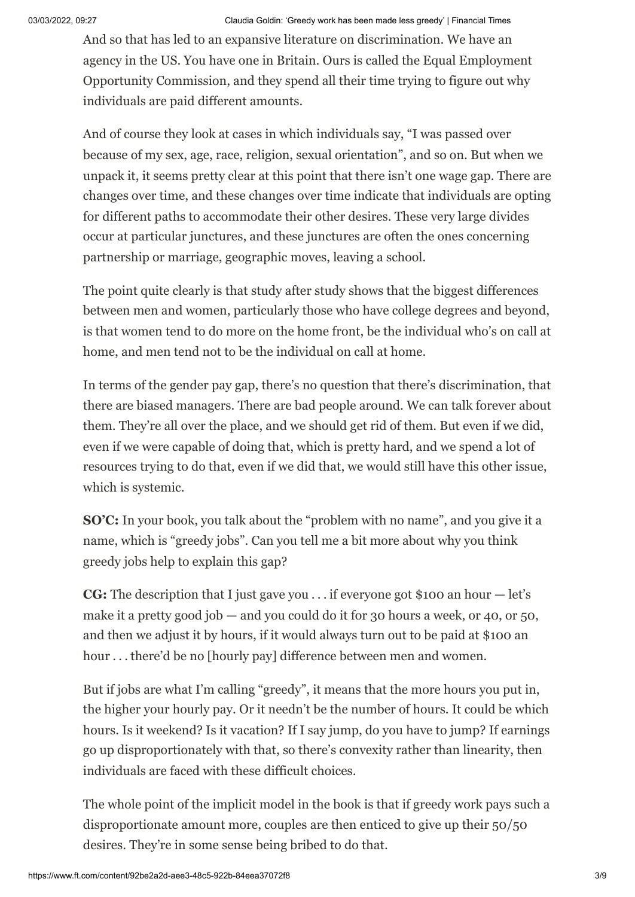And so that has led to an expansive literature on discrimination. We have an agency in the US. You have one in Britain. Ours is called the Equal Employment Opportunity Commission, and they spend all their time trying to figure out why individuals are paid different amounts.

And of course they look at cases in which individuals say, "I was passed over because of my sex, age, race, religion, sexual orientation", and so on. But when we unpack it, it seems pretty clear at this point that there isn't one wage gap. There are changes over time, and these changes over time indicate that individuals are opting for different paths to accommodate their other desires. These very large divides occur at particular junctures, and these junctures are often the ones concerning partnership or marriage, geographic moves, leaving a school.

The point quite clearly is that study after study shows that the biggest differences between men and women, particularly those who have college degrees and beyond, is that women tend to do more on the home front, be the individual who's on call at home, and men tend not to be the individual on call at home.

In terms of the gender pay gap, there's no question that there's discrimination, that there are biased managers. There are bad people around. We can talk forever about them. They're all over the place, and we should get rid of them. But even if we did, even if we were capable of doing that, which is pretty hard, and we spend a lot of resources trying to do that, even if we did that, we would still have this other issue, which is systemic.

**SO'C:** In your book, you talk about the "problem with no name", and you give it a name, which is "greedy jobs". Can you tell me a bit more about why you think greedy jobs help to explain this gap?

**CG:** The description that I just gave you . . . if everyone got \$100 an hour — let's make it a pretty good job  $-$  and you could do it for 30 hours a week, or 40, or 50, and then we adjust it by hours, if it would always turn out to be paid at \$100 an hour . . . there'd be no [hourly pay] difference between men and women.

But if jobs are what I'm calling "greedy", it means that the more hours you put in, the higher your hourly pay. Or it needn't be the number of hours. It could be which hours. Is it weekend? Is it vacation? If I say jump, do you have to jump? If earnings go up disproportionately with that, so there's convexity rather than linearity, then individuals are faced with these difficult choices.

The whole point of the implicit model in the book is that if greedy work pays such a disproportionate amount more, couples are then enticed to give up their 50/50 desires. They're in some sense being bribed to do that.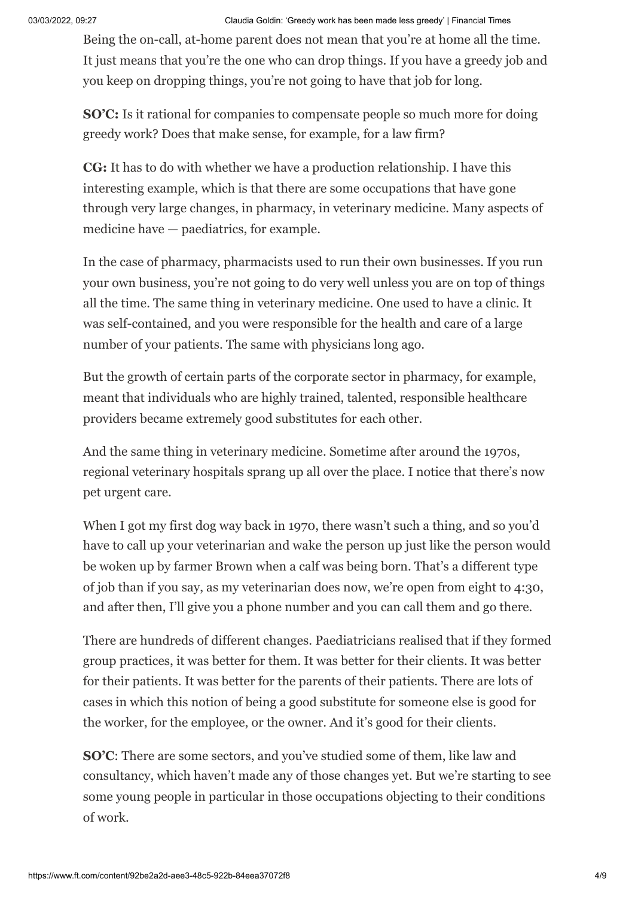03/03/2022, 09:27 Claudia Goldin: 'Greedy work has been made less greedy' | Financial Times

Being the on-call, at-home parent does not mean that you're at home all the time. It just means that you're the one who can drop things. If you have a greedy job and you keep on dropping things, you're not going to have that job for long.

**SO'C:** Is it rational for companies to compensate people so much more for doing greedy work? Does that make sense, for example, for a law firm?

**CG:** It has to do with whether we have a production relationship. I have this interesting example, which is that there are some occupations that have gone through very large changes, in pharmacy, in veterinary medicine. Many aspects of medicine have — paediatrics, for example.

In the case of pharmacy, pharmacists used to run their own businesses. If you run your own business, you're not going to do very well unless you are on top of things all the time. The same thing in veterinary medicine. One used to have a clinic. It was self-contained, and you were responsible for the health and care of a large number of your patients. The same with physicians long ago.

But the growth of certain parts of the corporate sector in pharmacy, for example, meant that individuals who are highly trained, talented, responsible healthcare providers became extremely good substitutes for each other.

And the same thing in veterinary medicine. Sometime after around the 1970s, regional veterinary hospitals sprang up all over the place. I notice that there's now pet urgent care.

When I got my first dog way back in 1970, there wasn't such a thing, and so you'd have to call up your veterinarian and wake the person up just like the person would be woken up by farmer Brown when a calf was being born. That's a different type of job than if you say, as my veterinarian does now, we're open from eight to 4:30, and after then, I'll give you a phone number and you can call them and go there.

There are hundreds of different changes. Paediatricians realised that if they formed group practices, it was better for them. It was better for their clients. It was better for their patients. It was better for the parents of their patients. There are lots of cases in which this notion of being a good substitute for someone else is good for the worker, for the employee, or the owner. And it's good for their clients.

**SO'C**: There are some sectors, and you've studied some of them, like law and consultancy, which haven't made any of those changes yet. But we're starting to see some young people in particular in those occupations objecting to their conditions of work.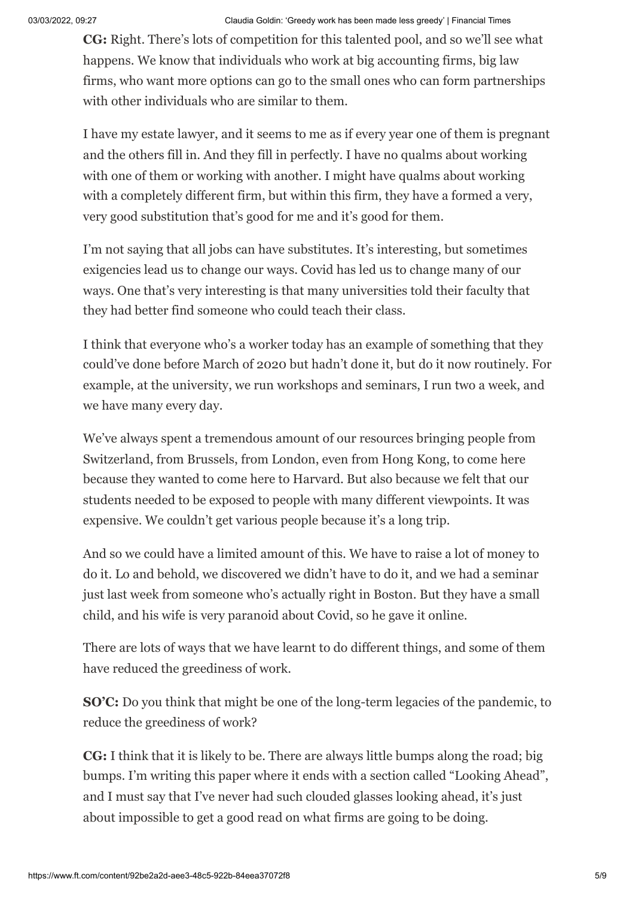**CG:** Right. There's lots of competition for this talented pool, and so we'll see what happens. We know that individuals who work at big accounting firms, big law firms, who want more options can go to the small ones who can form partnerships with other individuals who are similar to them.

I have my estate lawyer, and it seems to me as if every year one of them is pregnant and the others fill in. And they fill in perfectly. I have no qualms about working with one of them or working with another. I might have qualms about working with a completely different firm, but within this firm, they have a formed a very, very good substitution that's good for me and it's good for them.

I'm not saying that all jobs can have substitutes. It's interesting, but sometimes exigencies lead us to change our ways. Covid has led us to change many of our ways. One that's very interesting is that many universities told their faculty that they had better find someone who could teach their class.

I think that everyone who's a worker today has an example of something that they could've done before March of 2020 but hadn't done it, but do it now routinely. For example, at the university, we run workshops and seminars, I run two a week, and we have many every day.

We've always spent a tremendous amount of our resources bringing people from Switzerland, from Brussels, from London, even from Hong Kong, to come here because they wanted to come here to Harvard. But also because we felt that our students needed to be exposed to people with many different viewpoints. It was expensive. We couldn't get various people because it's a long trip.

And so we could have a limited amount of this. We have to raise a lot of money to do it. Lo and behold, we discovered we didn't have to do it, and we had a seminar just last week from someone who's actually right in Boston. But they have a small child, and his wife is very paranoid about Covid, so he gave it online.

There are lots of ways that we have learnt to do different things, and some of them have reduced the greediness of work.

**SO'C:** Do you think that might be one of the long-term legacies of the pandemic, to reduce the greediness of work?

**CG:** I think that it is likely to be. There are always little bumps along the road; big bumps. I'm writing this paper where it ends with a section called "Looking Ahead", and I must say that I've never had such clouded glasses looking ahead, it's just about impossible to get a good read on what firms are going to be doing.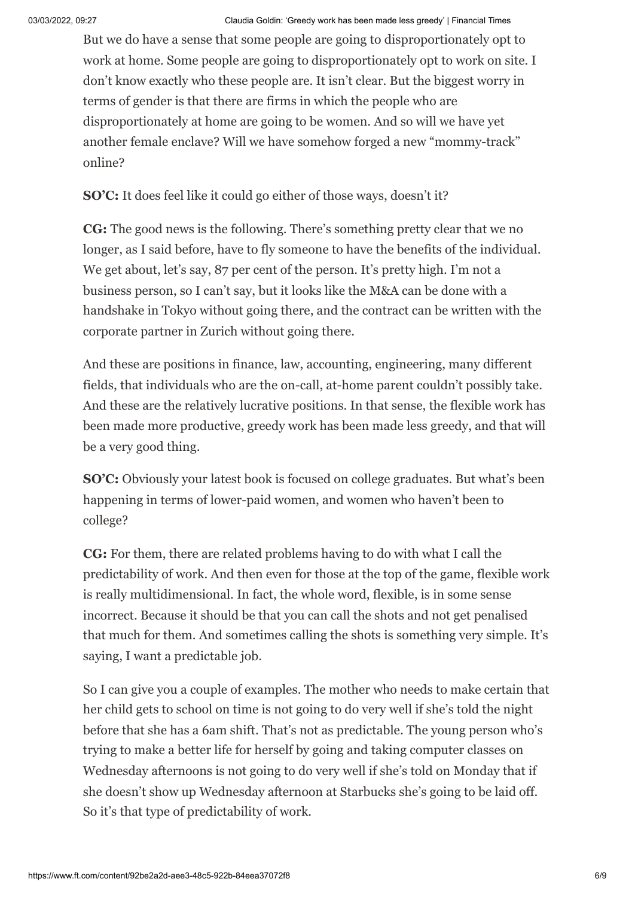But we do have a sense that some people are going to disproportionately opt to work at home. Some people are going to disproportionately opt to work on site. I don't know exactly who these people are. It isn't clear. But the biggest worry in terms of gender is that there are firms in which the people who are disproportionately at home are going to be women. And so will we have yet another female enclave? Will we have somehow forged a new "mommy-track" online?

**SO'C:** It does feel like it could go either of those ways, doesn't it?

**CG:** The good news is the following. There's something pretty clear that we no longer, as I said before, have to fly someone to have the benefits of the individual. We get about, let's say, 87 per cent of the person. It's pretty high. I'm not a business person, so I can't say, but it looks like the M&A can be done with a handshake in Tokyo without going there, and the contract can be written with the corporate partner in Zurich without going there.

And these are positions in finance, law, accounting, engineering, many different fields, that individuals who are the on-call, at-home parent couldn't possibly take. And these are the relatively lucrative positions. In that sense, the flexible work has been made more productive, greedy work has been made less greedy, and that will be a very good thing.

**SO'C:** Obviously your latest book is focused on college graduates. But what's been happening in terms of lower-paid women, and women who haven't been to college?

**CG:** For them, there are related problems having to do with what I call the predictability of work. And then even for those at the top of the game, flexible work is really multidimensional. In fact, the whole word, flexible, is in some sense incorrect. Because it should be that you can call the shots and not get penalised that much for them. And sometimes calling the shots is something very simple. It's saying, I want a predictable job.

So I can give you a couple of examples. The mother who needs to make certain that her child gets to school on time is not going to do very well if she's told the night before that she has a 6am shift. That's not as predictable. The young person who's trying to make a better life for herself by going and taking computer classes on Wednesday afternoons is not going to do very well if she's told on Monday that if she doesn't show up Wednesday afternoon at Starbucks she's going to be laid off. So it's that type of predictability of work.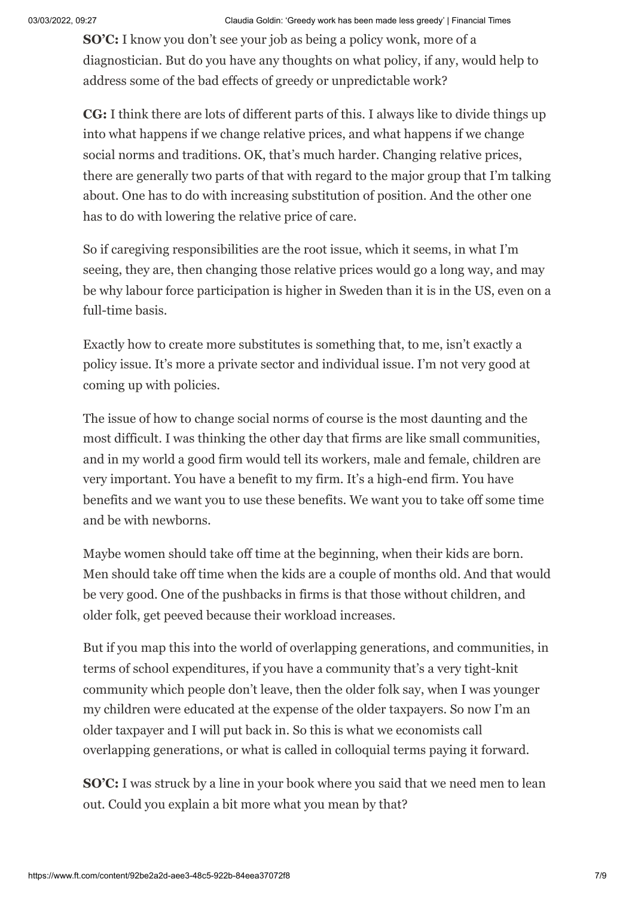**SO'C:** I know you don't see your job as being a policy wonk, more of a diagnostician. But do you have any thoughts on what policy, if any, would help to address some of the bad effects of greedy or unpredictable work?

**CG:** I think there are lots of different parts of this. I always like to divide things up into what happens if we change relative prices, and what happens if we change social norms and traditions. OK, that's much harder. Changing relative prices, there are generally two parts of that with regard to the major group that I'm talking about. One has to do with increasing substitution of position. And the other one has to do with lowering the relative price of care.

So if caregiving responsibilities are the root issue, which it seems, in what I'm seeing, they are, then changing those relative prices would go a long way, and may be why labour force participation is higher in Sweden than it is in the US, even on a full-time basis.

Exactly how to create more substitutes is something that, to me, isn't exactly a policy issue. It's more a private sector and individual issue. I'm not very good at coming up with policies.

The issue of how to change social norms of course is the most daunting and the most difficult. I was thinking the other day that firms are like small communities, and in my world a good firm would tell its workers, male and female, children are very important. You have a benefit to my firm. It's a high-end firm. You have benefits and we want you to use these benefits. We want you to take off some time and be with newborns.

Maybe women should take off time at the beginning, when their kids are born. Men should take off time when the kids are a couple of months old. And that would be very good. One of the pushbacks in firms is that those without children, and older folk, get peeved because their workload increases.

But if you map this into the world of overlapping generations, and communities, in terms of school expenditures, if you have a community that's a very tight-knit community which people don't leave, then the older folk say, when I was younger my children were educated at the expense of the older taxpayers. So now I'm an older taxpayer and I will put back in. So this is what we economists call overlapping generations, or what is called in colloquial terms paying it forward.

**SO'C:** I was struck by a line in your book where you said that we need men to lean out. Could you explain a bit more what you mean by that?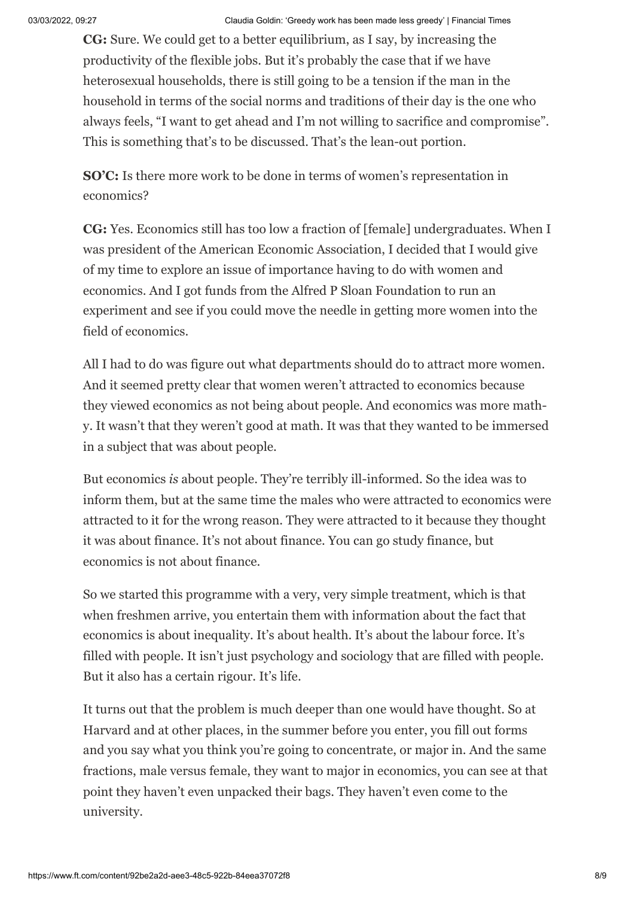**CG:** Sure. We could get to a better equilibrium, as I say, by increasing the productivity of the flexible jobs. But it's probably the case that if we have heterosexual households, there is still going to be a tension if the man in the household in terms of the social norms and traditions of their day is the one who always feels, "I want to get ahead and I'm not willing to sacrifice and compromise". This is something that's to be discussed. That's the lean-out portion.

**SO'C:** Is there more work to be done in terms of women's representation in economics?

**CG:** Yes. Economics still has too low a fraction of [female] undergraduates. When I was president of the American Economic Association, I decided that I would give of my time to explore an issue of importance having to do with women and economics. And I got funds from the Alfred P Sloan Foundation to run an experiment and see if you could move the needle in getting more women into the field of economics.

All I had to do was figure out what departments should do to attract more women. And it seemed pretty clear that women weren't attracted to economics because they viewed economics as not being about people. And economics was more mathy. It wasn't that they weren't good at math. It was that they wanted to be immersed in a subject that was about people.

But economics *is* about people. They're terribly ill-informed. So the idea was to inform them, but at the same time the males who were attracted to economics were attracted to it for the wrong reason. They were attracted to it because they thought it was about finance. It's not about finance. You can go study finance, but economics is not about finance.

So we started this programme with a very, very simple treatment, which is that when freshmen arrive, you entertain them with information about the fact that economics is about inequality. It's about health. It's about the labour force. It's filled with people. It isn't just psychology and sociology that are filled with people. But it also has a certain rigour. It's life.

It turns out that the problem is much deeper than one would have thought. So at Harvard and at other places, in the summer before you enter, you fill out forms and you say what you think you're going to concentrate, or major in. And the same fractions, male versus female, they want to major in economics, you can see at that point they haven't even unpacked their bags. They haven't even come to the university.